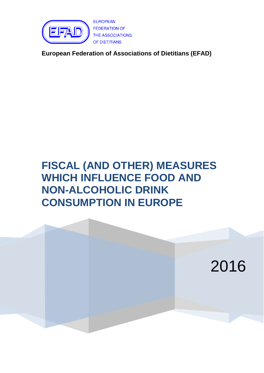

**EUROPEAN FEDERATION OF** THE ASSOCIATIONS OF DIETITIANS

**European Federation of Associations of Dietitians (EFAD)**

# **FISCAL (AND OTHER) MEASURES WHICH INFLUENCE FOOD AND NON-ALCOHOLIC DRINK CONSUMPTION IN EUROPE**

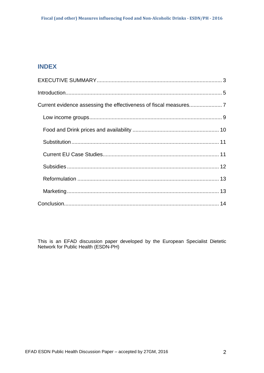## **INDEX**

This is an EFAD discussion paper developed by the European Specialist Dietetic Network for Public Health (ESDN-PH)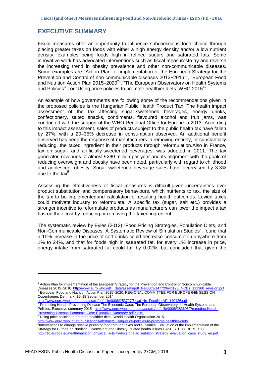## <span id="page-2-0"></span>**EXECUTIVE SUMMARY**

Fiscal measures offer an opportunity to influence subconscious food choice through placing greater taxes on foods with either a high energy density and/or a low nutrient density, examples being foods high in refined sugars and saturated fats. Some innovative work has advocated interventions such as fiscal measuresto try and reverse the increasing trend in obesity prevalence and other non-communicable diseases. Some examples are "Action Plan for implementation of the European Strategy for the Prevention and Control of non-communicable diseases 2012-2016<sup>1</sup>", "European Food and Nutrition Action Plan 2015–2020 $^{2}$ ", "The European Observatory on Health Systems and Policies<sup>3</sup>", or "Using price policies to promote healthier diets. WHO 2015<sup>4</sup>".

An example of how governments are following some of the recommendations given in the proposed policies is the Hungarian Public Health Product Tax. The health impact assessment of the tax affecting sugar-sweetened beverages, energy drinks, confectionery, salted snacks, condiments, flavoured alcohol and fruit jams, was conducted with the support of the WHO Regional Office for Europe in 2013. According to this impact assessment, sales of products subject to the public health tax have fallen by 27%, with a 20–35% decrease in consumption observed. An additional benefit observed has been the response of manufacturers in removing entirely, or substantially reducing, the taxed ingredient in their products through reformulation.Also in France, tax on sugar- and artificially-sweetened beverages, was adopted in 2011. The tax generates revenues of almost €280 million per year and its alignment with the goals of reducing overweight and obesity have been noted, particularly with regard to childhood and adolescent obesity. Sugar-sweetened beverage sales have decreased by 3.3% due to the tax $5$ .

Assessing the effectiveness of fiscal measures is difficult,given uncertainties over product substitution and compensatory behaviours, which nutrients to tax, the size of the tax to be implementedand calculation of resulting health outcomes. Levied taxes could motivate industry to reformulate. A specific tax (sugar, salt etc.) provides a stronger incentive to reformulate products as manufacturers can lower the impact a tax has on their cost by reducing or removing the taxed ingredient.

The systematic review by Eyles (2012) "Food Pricing Strategies, Population Diets, and Non-Communicable Diseases: A Systematic Review of Simulation Studies", found that a 10% increase in the price of soft drinks could decrease consumption anywhere from 1% to 24%, and that for foods high in saturated fat, for every 1% increase in price, energy intake from saturated fat could fall by 0.02%, but concluded that given the

<u>http://www.euro.who.int/\_\_data/assets/pdf\_file/0008/253727/64wd14e\_FoodNutAP\_140426.pdf</u><br><sup>3</sup> Promoting Health, Preventing Disease The Economic Case. The European Observatory on Health Systems and

Policies. Executive summary 2015. [http://www.euro.who.int/\\_\\_data/assets/pdf\\_file/0006/283695/Promoting-Health-](http://www.euro.who.int/__data/assets/pdf_file/0006/283695/Promoting-Health-Preventing-Disease-Economic-Case-Executive-Summary.pdf?ua=1)[Preventing-Disease-Economic-Case-Executive-Summary.pdf?ua=1](http://www.euro.who.int/__data/assets/pdf_file/0006/283695/Promoting-Health-Preventing-Disease-Economic-Case-Executive-Summary.pdf?ua=1)

Using price policies to promote healthier diets. World Health Organization 2015.

<http://www.euro.who.int/en/publications/abstracts/using-price-policies-to-promote-healthier-diets>

<sup>5</sup>Interventions to change relative prices of food through taxes and subsidies. Evaluation of the implementation of the Strategy for Europe on Nutrition, Overweight and Obesity related health issues CASE STUDY REPORTS. [http://ec.europa.eu/health/nutrition\\_physical\\_activity/docs/pheiac\\_nutrition\\_strategy\\_evaluation\\_case\\_study\\_en.pdf](http://ec.europa.eu/health/nutrition_physical_activity/docs/pheiac_nutrition_strategy_evaluation_case_study_en.pdf)

 $<sup>1</sup>$  Action Plan for implementation of the European Strategy for the Prevention and Control of Noncommunicable</sup> Diseases 2012−2016. http://www.euro.who.int/\_\_data/assets/pdf\_file/0003/147729/wd12E\_NCDs\_111360\_revision.pdf

<sup>2</sup> European Food and Nutrition Action Plan 2015–2020. REGIONAL COMMITTEE FOR EUROPE 64th SESSION Copenhagen, Denmark, 15–18 September 2014.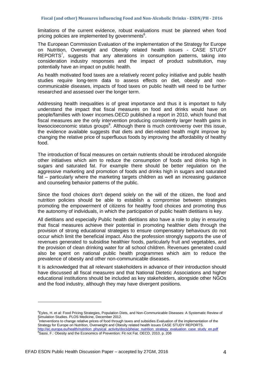limitations of the current evidence, robust evaluations must be planned when food pricing policies are implemented by governments $6$ .

The European Commission Evaluation of the implementation of the Strategy for Europe on Nutrition, Overweight and Obesity related health issues - CASE STUDY REPORTS<sup>7</sup>, suggests that any alterations in consumption patterns, taking into consideration industry responses and the impact of product substitution, may potentially have an impact on public health.

As health motivated food taxes are a relatively recent policy initiative and public health studies require long-term data to assess effects on diet, obesity and noncommunicable diseases, impacts of food taxes on public health will need to be further researched and assessed over the longer term.

Addressing health inequalities is of great importance and thus it is important to fully understand the impact that fiscal measures on food and drinks would have on people/families with lower incomes.OECD published a report in 2010, which found that fiscal measures are the only intervention producing consistently larger health gains in lowsocioeconomic status groups<sup>8</sup>. Although there is much controversy over this issue, the evidence available suggests that diets and diet-related health might improve by changing the relative price of superfluous foods by improving the affordability of healthy food.

The introduction of fiscal measures on certain nutrients should be introduced alongside other initiatives which aim to reduce the consumption of foods and drinks high in sugars and saturated fat. For example there should be better regulation on the aggressive marketing and promotion of foods and drinks high in sugars and saturated fat – particularly where the marketing targets children as well an increasing guidance and counseling behavior patterns of the public.

Since the food choices don't depend solely on the will of the citizen, the food and nutrition policies should be able to establish a compromise between strategies promoting the empowerment of citizens for healthy food choices and promoting thus the autonomy of individuals, in which the participation of public health dietitians is key.

All dietitians and especially Public health dietitians also have a role to play in ensuring that fiscal measures achieve their potential in promoting healthier diets through the provision of strong educational strategies to ensure compensatory behaviours do not occur which limit the beneficial impact. Also the profession strongly supports the use of revenues generated to subsidise healthier foods, particularly fruit and vegetables, and the provision of clean drinking water for all school children. Revenues generated could also be spent on national public health programmes which aim to reduce the prevalence of obesity and other non-communicable diseases.

It is acknowledged that all relevant stakeholders in advance of their introduction should have discussed all fiscal measures and that National Dietetic Associations and higher educational institutions should be included as key stakeholders, alongside other NGOs and the food industry, although they may have divergent positions.

<sup>&</sup>lt;sup>6</sup>Eyles, H. et al: Food Pricing Strategies, Population Diets, and Non-Communicable Diseases: A Systematic Review of Simulation Studies. PLOS Medicine, December 2012.

<sup>&</sup>lt;sup>7</sup>Interventions to change relative prices of food through taxes and subsidies.Evaluation of the implementation of the Strategy for Europe on Nutrition, Overweight and Obesity related health issues CASE STUDY REPORTS. [http://ec.europa.eu/health/nutrition\\_physical\\_activity/docs/pheiac\\_nutrition\\_strategy\\_evaluation\\_case\\_study\\_en.pdf](http://ec.europa.eu/health/nutrition_physical_activity/docs/pheiac_nutrition_strategy_evaluation_case_study_en.pdf)<br><sup>8</sup>Sassi, F.: Obesity and the Economics of Prevention: Fit not Fat. OECD, 2010, p. 206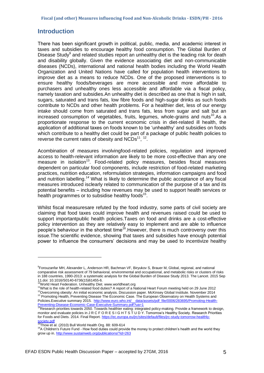## <span id="page-4-0"></span>**Introduction**

There has been significant growth in political, public, media, and academic interest in taxes and subsidies to encourage healthy food consumption. The Global Burden of Disease Study<sup>9</sup> and related studies report an unhealthy diet is the leading risk for death and disability globally. Given the evidence associating diet and non-communicable diseases (NCDs), international and national health bodies including the World Health Organization and United Nations have called for population health interventions to improve diet as a means to reduce NCDs. One of the proposed interventions is to ensure healthy foods/beverages are more accessible and more affordable to purchasers and unhealthy ones less accessible and affordable via a fiscal policy, namely taxation and subsidies.An unhealthy diet is described as one that is high in salt, sugars, saturated and trans fats, low fibre foods and high-sugar drinks as such foods contribute to NCDs and other health problems. For a healthier diet, less of our energy intake should come from saturated and trans fats, less from sugar and salt but an increased consumption of vegetables, fruits, legumes, whole-grains and nuts<sup>10</sup>. As a proportionate response to the current economic crisis in diet-related ill health, the application of additional taxes on foods known to be 'unhealthy' and subsidies on foods which contribute to a healthy diet could be part of a package of public health policies to reverse the current rates of obesity and  $NCDs^{11},$  12.

Acombination of measures involvingfood-related policies, regulation and improved access to health-relevant information are likely to be more cost-effective than any one measure in isolation<sup>13</sup>. Food-related policy measures, besides fiscal measures dependent on particular food components, include restriction of food-related marketing practices, nutrition education, reformulation strategies, information campaigns and food and nutrition labelling.*<sup>14</sup>* What is likely to determine the public acceptance of any fiscal measures introduced isclearly related to communication of the purpose of a tax and its potential benefits – including how revenues may be used to support health services or health programmes or to subsidise healthy foods<sup>15</sup>.

Whilst fiscal measuresare refuted by the food industry, some parts of civil society are claiming that food taxes could improve health and revenues raised could be used to support importantpublic health policies.Taxes on food and drinks are a cost-effective policy intervention as they are relatively easy to implement and are able to influence people's behaviour in the shortest time<sup>16</sup>. However, there is much controversy over this issue.The scientific evidence, showing that taxes and subsidies have enough potential power to influence the consumers' decisions and may be used to incentivize healthy

<sup>9</sup> Forouzanfar MH, Alexander L, Anderson HR, Bachman VF, Biryukov S, Brauer M, Global, regional, and national comparative risk assessment of 79 behavioral, environmental and occupational, and metabolic risks or clusters of risks in 188 countries, 1990-2013: a systematic analysis for the Global Burden of Disease Study 2013. The Lancet. 2015 Sep

<sup>11.</sup>doi: 10.1016/S0140-6736(15)61455-6. <sup>10</sup>World Heart Federation. Unhealthy Diet. [www.worldheart.org](http://www.worldheart.org/)

<sup>11</sup>What is the role of health-related food duties? A report of a National Heart Forum meeting held on 29 June 2012 <sup>12</sup>Overcoming obesity: An initial economic analysis. Discussion paper. McKinsey Global Institute. November 2014 <sup>13</sup> Promoting Health, Preventing Disease The Economic Case. The European Observatory on Health Systems and Policies.Executive summary 2015. http://www.euro.who.int/ data/assets/pdf file/0006/283695/Promoting-Health-

[Preventing-Disease-Economic-Case-Executive-Summary.pdf?ua=1](http://www.euro.who.int/__data/assets/pdf_file/0006/283695/Promoting-Health-Preventing-Disease-Economic-Case-Executive-Summary.pdf?ua=1)<br><sup>14</sup>Research priorities towards 2050. Towards healthier eating: integrated policy-making. Provide a framework to design, monitor and evaluate policies in J R C F O R E S I G H T S T U D Y. Tomorrow's Healthy Society. Research Priorities for Foods and Diets. 2014. Final Report[. https://ec.europa.eu/jrc/sites/default/files/jrc-study-tomorrow-healthly-](https://ec.europa.eu/jrc/sites/default/files/jrc-study-tomorrow-healthly-society.pdf)

<sup>&</sup>lt;u>[society.pdf](https://ec.europa.eu/jrc/sites/default/files/jrc-study-tomorrow-healthly-society.pdf)</u><br><sup>15</sup>Thow et al. (2010) Bull World Health Org. 88: 609-614

<sup>&</sup>lt;sup>16</sup>A Children's Future Fund - How food duties could provide the money to protect children's health and the world they grow up in[. http://www.sustainweb.org/publications/?id=263](http://www.sustainweb.org/publications/?id=263)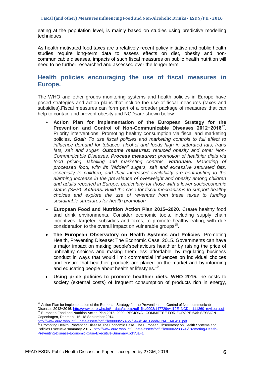eating at the population level, is mainly based on studies using predictive modelling techniques.

As health motivated food taxes are a relatively recent policy initiative and public health studies require long-term data to assess effects on diet, obesity and noncommunicable diseases, impacts of such fiscal measures on public health nutrition will need to be further researched and assessed over the longer term.

## **Health policies encouraging the use of fiscal measures in Europe.**

The WHO and other groups monitoring systems and health policies in Europe have posed strategies and action plans that include the use of fiscal measures (taxes and subsidies).Fiscal measures can form part of a broader package of measures that can help to contain and prevent obesity and NCDsare shown below:

- **Action Plan for implementation of the European Strategy for the Prevention and Control of Non-Communicable Diseases 2012−2016**<sup>17</sup> . Priority interventions: Promoting healthy consumption via fiscal and marketing policies. *Goal: To use fiscal policies and marketing controls to full effect to influence demand for tobacco, alcohol and foods high in saturated fats, trans fats, salt and sugar. Outcome measures: reduced obesity and other Non-Communicable Diseases. Process measures: promotion of healthier diets via food pricing, labelling and marketing controls. Rationale: Marketing of processed food, with its "hidden" sugars, salt and excessive saturated fats, especially to children, and their increased availability are contributing to the alarming increase in the prevalence of overweight and obesity among children and adults reported in Europe, particularly for those with a lower socioeconomic status (SES). Actions. Build the case for fiscal mechanisms to support healthy choices and explore the use of revenues from these taxes to funding sustainable structures for health promotion.*
- **European Food and Nutrition Action Plan 2015–2020**. Create healthy food and drink environments. Consider economic tools, including supply chain incentives, targeted subsidies and taxes, to promote healthy eating, with due consideration to the overall impact on vulnerable groups<sup>18</sup>.
- **The European Observatory on Health Systems and Policies**. Promoting Health, Preventing Disease: The Economic Case. 2015. Governments can have a major impact on making people'sbehaviours healthier by raising the price of unhealthy choices and making them less affordable, by regulating business conduct in ways that would limit commercial influences on individual choices and ensure that healthier products are placed on the market and by informing and educating people about healthier lifestyles.<sup>19</sup>
- **Using price policies to promote healthier diets. WHO 2015.**The costs to society (external costs) of frequent consumption of products rich in energy,

<sup>&</sup>lt;sup>17</sup> Action Plan for implementation of the European Strategy for the Prevention and Control of Non-communicable Diseases 2012−2016. http://www.euro.who.int/\_\_data/assets/pdf\_file/0003/147729/wd12E\_NCDs\_111360\_revision.pdf 18 European Food and Nutrition Action Plan 2015–2020. REGIONAL COMMITTEE FOR EUROPE 64th SESSION Copenhagen, Denmark, 15–18 September 2014.

<sup>&</sup>lt;u>http://www.euro.who.int/\_\_data/assets/pdf\_file/0008/253727/64wd14e\_FoodNutAP\_140426.pdf</u><br><sup>19</sup> Promoting Health, Preventing Disease The Economic Case. The European Observatory on Health Systems and Policies.Executive summary 2015. http://www.euro.who.int/ data/assets/pdf\_file/0006/283695/Promoting-Health-[Preventing-Disease-Economic-Case-Executive-Summary.pdf?ua=1](http://www.euro.who.int/__data/assets/pdf_file/0006/283695/Promoting-Health-Preventing-Disease-Economic-Case-Executive-Summary.pdf?ua=1)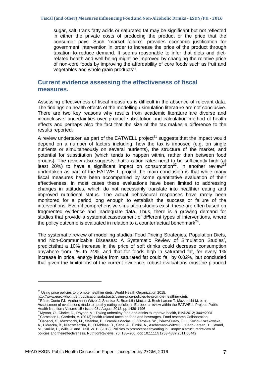sugar, salt, trans fatty acids or saturated fat may be significant but not reflected in either the private costs of producing the product or the price that the consumer pays. Such "market failure", provides economic justification for government intervention in order to increase the price of the product through taxation to reduce demand. It seems reasonable to infer that diets and dietrelated health and well-being might be improved by changing the relative price of non-core foods by improving the affordability of core foods such as fruit and vegetables and whole grain products $^{20}$ .

## <span id="page-6-0"></span>**Current evidence assessing the effectiveness of fiscal measures.**

Assessing effectiveness of fiscal measures is difficult in the absence of relevant data. The findings on health effects of the modelling / simulation literature are not conclusive. There are two key reasons why results from academic literature are diverse and inconclusive: uncertainties over product substitution and calculation method of health effects and perhaps also the fact that the size of the tax makes a difference to the results reported.

A review undertaken as part of the EATWELL project<sup>21</sup> suggests that the impact would depend on a number of factors including, how the tax is imposed (e.g. on single nutrients or simultaneously on several nutrients), the structure of the market, and potential for substitution (which tends to happen within, rather than between food groups). The review also suggests that taxation rates need to be sufficiently high (at least 20%) to have a significant impact on consumption<sup>22</sup>. In another review<sup>23</sup> undertaken as part of the EATWELL project the main conclusion is that while many fiscal measures have been accompanied by some quantitative evaluation of their effectiveness, in most cases these evaluations have been limited to addressing changes in attitudes, which do not necessarily translate into healthier eating and improved nutritional status. The actual behavioural responses have rarely been monitored for a period long enough to establish the success or failure of the interventions. Even if comprehensive simulation studies exist, these are often based on fragmented evidence and inadequate data. Thus, there is a growing demand for studies that provide a systematicassessment of different types of interventions, where the policy outcome is evaluated in relation to a counterfactual benchmark $^{24}$ .

The systematic review of modelling studies, Food Pricing Strategies, Population Diets, and Non-Communicable Diseases: A Systematic Review of Simulation Studies', predictsthat a 10% increase in the price of soft drinks could decrease consumption anywhere from 1% to 24%, and that for foods high in saturated fat, for every 1% increase in price, energy intake from saturated fat could fall by 0.02%, but concluded that given the limitations of the current evidence, robust evaluations must be planned

- <sup>1</sup>Pérez-Cueto FJ, Aschemann-Witzel J, Shankar B, Brambila-Macias J, Bech-Larsen T, Mazzocchi M. et al. Assessment of evaluations made to healthy eating policies in Europe: a review within the EATWELL Project. [Public](http://journals.cambridge.org/action/displayJournal?jid=PHN)  [Health Nutrition](http://journals.cambridge.org/action/displayJournal?jid=PHN) / Volume 15 / Issue 08 / August 2012, pp 1489-1496
- <sup>22</sup>Mytton, O., Clarke, D., Rayner, M.: Taxing unhealthy food and drinks to improve health, BMJ 2012; 344:e2931 23Cornelson L, Carriedo, A. (2013) health-related taxes on food and beverages. Food research Collaboration.

 $20$  Using price policies to promote healthier diets. World Health Organization 2015.

http://www.euro.who.inten/publications/abstracts/using-price-policies-to-promote-healthier-diets<br>21Décese Custo Ethnic antiernal with a strategy and a strategy of promote-healthier-diets

<sup>24</sup>Capacci, S., Mazzocchi, M., Shankar, B., BrambilaMacias, J., Verbeke, W., Pérez-Cueto, F. J., Kozioł-Kozakowska, A., Piórecka, B., Niedzwiedzka, B., D'Addesa, D., Saba, A., Turrini, A., Aschemann-Witzel, J., Bech-Larsen, T., Strand, M., Smillie, L., Wills, J. and Traill, W. B. (2012), Policies to promotehealthyeating in Europe: a structuredreview of policies and theireffectiveness. NutritionReviews, 70: 188–200. doi: 10.1111/j.1753-4887.2011.00442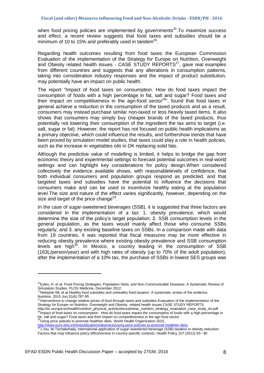when food pricing policies are implemented by governments<sup>25</sup>. To maximize success and effect, a recent review suggests that food taxes and subsidies should be a minimum of 10 to 15% and preferably used in tandem $^{26}$ .

Regarding health outcomes resulting from food taxes the European Commission Evaluation of the implementation of the Strategy for Europe on Nutrition, Overweight and Obesity related health issues - CASE STUDY REPORTS $27$ , gave real examples from different countries and suggests that any alterations in consumption patterns, taking into consideration industry responses and the impact of product substitution, may potentially have an impact on public health.

The report "Impact of food taxes on consumption. How do food taxes impact the consumption of foods with a high percentage in fat, salt and sugar? Food taxes and their impact on competitiveness in the agri-food sector<sup>28</sup>", found that food taxes in general achieve a reduction in the consumption of the taxed products and as a result, consumers may instead purchase similar non-taxed or less heavily taxed items. It also shows that consumers may simply buy cheaper brands of the taxed products, thus potentially not lowering their consumption of the ingredient the tax aims to target (i.e. salt, sugar or fat). However, the report has not focused on public health implications as a primary objective, which could influence the results, and furthershow trends that have been proved by simulation model studies, that taxes could play a role in health policies, such as the increase in vegetables oils in DK replacing solid fats.

Although the predictive value of modelling is limited, it helps to bridge the gap from economic theory and experimental settings to forecast potential outcomes in real-world settings and can highlight key considerations for policy design.When considered collectively the evidence available shows, with reasonablelevels of confidence, that both individual consumers and population groups respond as predicted, and that targeted taxes and subsidies have the potential to influence the decisions that consumers make and can be used to incentivize healthy eating at the population level.The size and nature of the effect varies significantly, however, depending on the size and target of the price change $^{29}$ .

In the case of sugar-sweetened beverages (SSB), it is suggested that three factors are considered in the implementation of a tax: 1. obesity prevalence, which would determine the size of the policy's target population; 2. SSB consumption levels in the general population, as the taxes would mainly affect those who consume SSBs regularly; and 3. any existing baseline taxes on SSBs. In a comparison made with data from 19 countries, it was reported that fiscal measures may be more effective in reducing obesity prevalence where existing obesity prevalence and SSB consumption levels are high<sup>30</sup>. In Mexico, a country leading in the consumption of SSB (163L/person/year) and with high rates of obesity (up to 70% of the adult population), after the implementation of a 10% tax, the purchase of SSBs in lowest SES groups was

Nutrition. 2015 Jun;31(6):787-95.<br><sup>27</sup>Interventions to change relative prices of food through taxes and subsidies.Evaluation of the implementation of the Strategy for Europe on Nutrition, Overweight and Obesity related health issues CASE STUDY REPORTS. http://ec.europa.eu/health/nutrition\_physical\_activity/docs/pheiac\_nutrition\_strategy\_evaluation\_case\_study\_en.pdf 28Impact of food taxes on consumption. How do food taxes impact the consumption of foods with a high percentage in

fat, salt and sugar? Food taxes and their impact on competitiveness in the agri food sector.<br><sup>29</sup>Using price policies to promote healthier diets. World Health Organization 2015.

.

<http://www.euro.who.int/en/publications/abstracts/using-price-policies-to-promote-healthier-diets><br>30 Liou M. Technicistic Hypublications/abstracts/using-price-policies-to-promote-healthier-diets

<sup>&</sup>lt;sup>25</sup>Eyles, H. et al: Food Pricing Strategies, Population Diets, and Non-Communicable Diseases: A Systematic Review of Simulation Studies. PLOS Medicine, December 2012.

 $^{26}$ Niebylski ML et al.Healthy food subsidies and unhealthy food taxation: A systematic review of the evidence.

<sup>&</sup>lt;sup>0</sup>J.Jou, W.Techakehakij. International application of sugar-sweetened beverage (SSB) taxation in obesity reduction: Factors that may influence policy effectiveness in country-specific contexts. Health Policy 107 (2012) 83– 90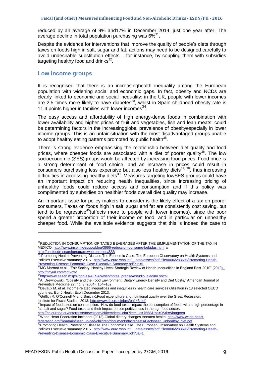reduced by an average of 9% and17% in December 2014, just one year after. The average decline in total population purchasing was  $6\%^{31}$ .

Despite the evidence for interventions that improve the quality of people's diets through taxes on foods high in salt, sugar and fat, actions may need to be designed carefully to avoid undesirable substitution effects – for instance, by coupling them with subsidies targeting healthy food and drinks<sup>32</sup>.

#### <span id="page-8-0"></span>**Low income groups**

It is recognised that there is an increasinghealth inequality among the European population with widening social and economic gaps. In fact, obesity and NCDs are clearly linked to economic and social inequality: in the UK, people with lower incomes are 2.5 times more likely to have diabetes<sup>33</sup>, whilst in Spain childhood obesity rate is 11.4 points higher in families with lower incomes $^{34}$ .

The easy access and affordability of high energy-dense foods in combination with lower availability and higher prices of fruit and vegetables, fish and lean meats, could be determining factors in the increasingglobal prevalence of obesityespecially in lower income groups. This is an unfair situation with the most disadvantaged groups unable to adopt healthy eating patterns promoted by public health<sup>35</sup>.

There is strong evidence emphasising the relationship between diet quality and food prices, where cheaper foods are associated with a diet of poorer quality<sup>36</sup>. The low socioeconomic (SES) groups would be affected by increasing food prices. Food price is a strong determinant of food choice, and an increase in prices could result in consumers purchasing less expensive but also less healthy diets $37, 38$ , thus increasing difficulties in accessing healthy diets<sup>39</sup>. Measures targeting lowSES groups could have an important impact on reducing health inequalities, since increasing pricing of unhealthy foods could reduce access and consumption and if this policy was complimented by subsidies on healthier foods overall diet quality may increase.

An important issue for policy makers to consider is the likely effect of a tax on poorer consumers. Taxes on foods high in salt, sugar and fat are consistently cost saving, but tend to be regressive<sup>40</sup> (affects more to people with lower incomes), since the poor spend a greater proportion of their income on food, and in particular on unhealthy cheaper food. While the available evidence suggests that this is indeed the case to

.

<sup>34</sup>[http://www.aesan.mspsi.gob.es/AESAN/web/notas\\_prensa/estudio\\_aladino.shtml](http://www.aesan.mspsi.gob.es/AESAN/web/notas_prensa/estudio_aladino.shtml)

countries. Eur J Health Econ December 2013.

Griffith R, O'Connell M and Smith K.Food expenditure and nutritional quality over the Great Recession. Institute for Fiscal Studies. 2013. http://www.ifs.org.uk/bns/bn143.pd

<sup>38</sup>Impact of food taxes on consumption. How do food taxes impact the consumption of foods with a high percentage in fat, salt and sugar? Food taxes and their impact on competitiveness in the agri food sector.

<u>[http://ec.europa.eu/enterprise/newsroom/cf/itemdetail.cfm?item\\_id=7668&tpa=0&tk=&lang=en](http://ec.europa.eu/enterprise/newsroom/cf/itemdetail.cfm?item_id=7668&tpa=0&tk=&lang=en)</u><br><sup>39</sup>World Heart Federation factsheet (2013) Global dietary changes threaten health. <u>http://www.world-hear</u>t-

<u>[federation.org/fileadmin/user\\_upload/children/documents/factsheets/Factsheet\\_Unhealthy\\_diet.pdf](http://www.world-heart-federation.org/fileadmin/user_upload/children/documents/factsheets/Factsheet_Unhealthy_diet.pdf)</u><br><sup>40</sup>Promoting Health, Preventing Disease The Economic Case. The European Observatory on Health Systems and Policies.Executive summary 2015. [http://www.euro.who.int/\\_\\_data/assets/pdf\\_file/0006/283695/Promoting-Health-](http://www.euro.who.int/__data/assets/pdf_file/0006/283695/Promoting-Health-Preventing-Disease-Economic-Case-Executive-Summary.pdf?ua=1)[Preventing-Disease-Economic-Case-Executive-Summary.pdf?ua=1](http://www.euro.who.int/__data/assets/pdf_file/0006/283695/Promoting-Health-Preventing-Disease-Economic-Case-Executive-Summary.pdf?ua=1)

<sup>&</sup>lt;sup>31</sup>REDUCTION IN CONSUMPTION OF TAXED BEVERAGES AFTER THE EIMPLEMENTATION OF THE TAX IN MEXICO.<http://www.insp.mx/epppo/blog/3666-reduccion-consumo-bebidas.html> //

<http://uncfoodresearchprogram.web.unc.edu/822/><br><sup>32</sup> Dreat at increase of the search program.web.unc.edu/822/

<sup>32</sup> Promoting Health, Preventing Disease The Economic Case. The European Observatory on Health Systems and Policies.Executive summary 2015. http://www.euro.who.int/ data/assets/pdf file/0006/283695/Promoting-Health-

<sup>&</sup>lt;u>[Preventing-Disease-Economic-Case-Executive-Summary.pdf?ua=1](http://www.euro.who.int/__data/assets/pdf_file/0006/283695/Promoting-Health-Preventing-Disease-Economic-Case-Executive-Summary.pdf?ua=1)</u><br><sup>33</sup>MG Marmot et al., "Fair Society, Healthy Lives: Strategic Review of Health Inequalities in England Post-2010" (2010<u>)..</u> http://tinyurl.com/cgt2cxv.

<sup>35</sup>A. Drewnowski, "Obesity and the Food Environment: Dietary Energy Density and Diet Costs," American Journal of Preventive Medicine 27, no. 3 (2004): 154–162.<br><sup>36</sup>Devaux M. et al. Income-related inequalities and inequities in health care services utilisation in 18 selected OECD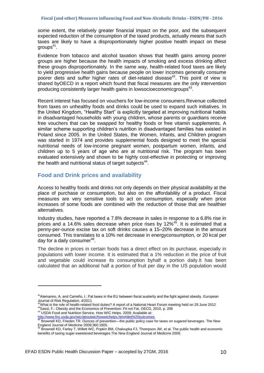some extent, the relatively greater financial impact on the poor, and the subsequent expected reduction of the consumption of the taxed products, actually means that such taxes are likely to have a disproportionately higher positive health impact on these groups $41$ .

Evidence from tobacco and alcohol taxation shows that health gains among poorer groups are higher because the health impacts of smoking and excess drinking affect these groups disproportionately. In the same way, health-related food taxes are likely to yield progressive health gains because people on lower incomes generally consume poorer diets and suffer higher rates of diet-related disease<sup>42</sup>. This point of view is shared byOECD in a report which found that fiscal measures are the only intervention producing consistently larger health gains in lowsocioeconomicgroups<sup>43</sup>.

Recent interest has focused on vouchers for low-income consumers.Revenue collected from taxes on unhealthy foods and drinks could be used to expand such initiatives. In the United Kingdom, "Healthy Start" is explicitly targeted at improving nutritional habits in disadvantaged households with young children, whose parents or guardians receive free vouchers that can be swapped for healthy foods or free vitamin supplements. A similar scheme supporting children's nutrition in disadvantaged families has existed in Poland since 2005. In the United States, the Women, Infants, and Children program was started in 1974 and provides supplemental foods designed to meet the special nutritional needs of low-income pregnant women, postpartum women, infants, and children up to 5 years of age who are at nutritional risk. The program has been evaluated extensively and shown to be highly cost-effective in protecting or improving the health and nutritional status of target subjects $44$ .

## <span id="page-9-0"></span>**Food and Drink prices and availability**

Access to healthy foods and drinks not only depends on their physical availability at the place of purchase or consumption, but also on the affordability of a product. Fiscal measures are very sensitive tools to act on consumption, especially when price increases of some foods are combined with the reduction of those that are healthier alternatives.

Industry studies, have reported a 7.8% decrease in sales in response to a 6.8% rise in prices and a 14.6% sales decrease when price rises by 12%<sup>45</sup>. It is estimated that a penny-per-ounce excise tax on soft drinks causes a 15–20% decrease in the amount consumed. This translates to a 10% net decrease in energyconsumption, or 20 kcal per day for a daily consumer<sup>46</sup>.

The decline in prices in certain foods has a direct effect on its purchase, especially in populations with lower income. It is estimated that a 1% reduction in the price of fruit and vegetable could increase its consumption byhalf a portion daily.It has been calculated that an additional half a portion of fruit per day in the US population would

<sup>44</sup> USDA Food and Nutrition Service. How WIC Helps. 2009; Available at:

<sup>&</sup>lt;sup>41</sup> Alemanno, A. and Carreño, I.: Fat taxes in the EU between fiscal austerity and the fight against obesity. European Journal of Risk Regulation, 4/2011<br><sup>42</sup>What is the role of health-related food duties? A report of a National Heart Forum meeting held on 29 June 2012

<sup>43</sup>Sassi, F.: Obesity and the Economics of Prevention: Fit not Fat. OECD, 2010, p. 206

<sup>&</sup>lt;u>http://www.fns.usda.gov/wic/aboutwic/howwichelps.htm#diet%20outcomes</u>.<br><sup>45</sup> Brownell KD, Frieden TR. Ounces of prevention—the public policy case for taxes on sugared beverages. The New England Journal of Medicine 2009;360:1805.

Brownell KD, Farley T, Willett WC, Popkin BM, Chaloupka FJ, Thompson JW, et al. The public health and economic benefits of taxing sugar-sweetened beverages.The New England Journal of Medicine 2009.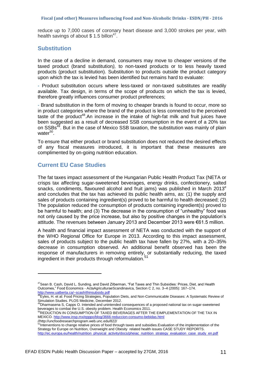#### **Fiscal (and other) Measures influencing Food and Non-Alcoholic Drinks - ESDN/PH - 2016**

reduce up to 7,000 cases of coronary heart disease and 3,000 strokes per year, with health savings of about  $$ 1.5$  billon<sup>47</sup>.

#### <span id="page-10-0"></span>**Substitution**

In the case of a decline in demand, consumers may move to cheaper versions of the taxed product (brand substitution*),* to non-taxed products or to less heavily taxed products (product substitution). Substitution to products outside the product category upon which the tax is levied has been identified but remains hard to evaluate:

- Product substitution occurs where less-taxed or non-taxed substitutes are readily available. Tax design, in terms of the scope of products on which the tax is levied, therefore greatly influences consumer product preferences;

- Brand substitution in the form of moving to cheaper brands is found to occur, more so in product categories where the brand of the product is less connected to the perceived taste of the product<sup>48</sup>. An increase in the intake of high-fat milk and fruit juices have been suggested as a result of decreased SSB consumption in the event of a 20% tax on SSBs<sup>49</sup>. But in the case of Mexico SSB taxation, the substitution was mainly of plain water<sup>50</sup>.

To ensure that either product or brand substitution does not reduced the desired effects of any fiscal measures introduced, it is important that these measures are complimented by on-going nutrition education.

## <span id="page-10-1"></span>**Current EU Case Studies**

The fat taxes impact assessment of the Hungarian Public Health Product Tax (NETA or crisps tax affecting sugar-sweetened beverages, energy drinks, confectionery, salted snacks, condiments, flavoured alcohol and fruit jams) was published in March 2013<sup>e</sup> and concludes that the tax has achieved its public health aims, as: (1) the supply and sales of products containing ingredient(s) proved to be harmful to health decreased; (2) The population reduced the consumption of products containing ingredient(s) proved to be harmful to health; and (3) The decrease in the consumption of "unhealthy" food was not only caused by the price increase, but also by positive changes in the population's attitude. The revenues between January 2013 and December 2013 were €61.5 million.

A health and financial impact assessment of NETA was conducted with the support of the WHO Regional Office for Europe in 2013. According to this impact assessment, sales of products subject to the public health tax have fallen by 27%, with a 20–35% decrease in consumption observed. An additional benefit observed has been the response of manufacturers in removing entirely, or substantially reducing, the taxed ingredient in their products through reformulation.<sup>51</sup>

<sup>&</sup>lt;sup>47</sup>Sean B. Cash, David L. Sunding, and David Zilberman, "Fat Taxes and Thin Subsidies: Prices, Diet, and Health Outcomes,‖ Food Economics - ActaAgriculturaeScandinavica, Section C 2, no. 3–4 (2005): 167–174. http://www.ualberta.ca/~scash/thinsubsidy.pdf

<sup>&</sup>lt;sup>3</sup>Eyles, H. et al: Food Pricing Strategies, Population Diets, and Non-Communicable Diseases: A Systematic Review of

Simulation Studies. PLOS Medicine, December 2012.<br><sup>49</sup>Dharmasena S, Capps O. Intended and unintended consequences of a proposed national tax on sugar-sweetened beverages to combat the U.S. obesity problem. Health Economics 2011.

<sup>50</sup>REDUCTION IN CONSUMPTION OF TAXED BEVERAGES AFTER THE EIMPLEMENTATION OF THE TAX IN MEXICO.<http://www.insp.mx/epppo/blog/3666-reduccion-consumo-bebidas.html>

<sup>//</sup>http://uncfoodresearchprogram.web.unc.edu/822/<br><sup>51</sup>Interventions to change relative prices of food through taxes and subsidies.Evaluation of the implementation of the Strategy for Europe on Nutrition, Overweight and Obesity related health issues CASE STUDY REPORTS. [http://ec.europa.eu/health/nutrition\\_physical\\_activity/docs/pheiac\\_nutrition\\_strategy\\_evaluation\\_case\\_study\\_en.pdf](http://ec.europa.eu/health/nutrition_physical_activity/docs/pheiac_nutrition_strategy_evaluation_case_study_en.pdf)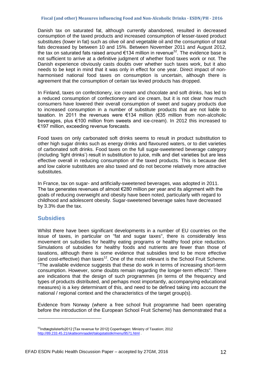#### **Fiscal (and other) Measures influencing Food and Non-Alcoholic Drinks - ESDN/PH - 2016**

Danish tax on saturated fat, although currently abandoned, resulted in decreased consumption of the taxed products and increased consumption of lesser-taxed product substitutes (lower in fat) such as olive oil and vegetable oil and the consumption of total fats decreased by between 10 and 15%. Between November 2011 and August 2012, the tax on saturated fats raised around  $\epsilon$ 134 million in revenue<sup>52</sup>. The evidence base is not sufficient to arrive at a definitive judgment of whether food taxes work or not. The Danish experience obviously casts doubts over whether such taxes work, but it also needs to be kept in mind that it was only in effect for one year. Direct impact of nonharmonised national food taxes on consumption is uncertain, although there is agreement that the consumption of certain tax levied products has dropped.

In Finland, taxes on confectionery, ice cream and chocolate and soft drinks, has led to a reduced consumption of confectionery and ice cream, but it is not clear how much consumers have lowered their overall consumption of sweet and sugary products due to increased consumption in a number of substitute products that are not liable to taxation. In 2011 the revenues were €134 million (€35 million from non-alcoholic beverages, plus €100 million from sweets and ice-cream). In 2012 this increased to €197 million, exceeding revenue forecasts.

Food taxes on only carbonated soft drinks seems to result in product substitution to other high sugar drinks such as energy drinks and flavoured waters, or to diet varieties of carbonated soft drinks. Food taxes on the full sugar-sweetened beverage category (including 'light drinks') result in substitution to juice, milk and diet varieties but are less effective overall in reducing consumption of the taxed products. This is because diet and low calorie substitutes are also taxed and do not become relatively more attractive substitutes.

In France, tax on sugar- and artificially-sweetened beverages, was adopted in 2011. The tax generates revenues of almost €280 million per year and its alignment with the goals of reducing overweight and obesity have been noted, particularly with regard to childhood and adolescent obesity. Sugar-sweetened beverage sales have decreased by 3.3% due the tax.

## <span id="page-11-0"></span>**Subsidies**

<u>.</u>

Whilst there have been significant developments in a number of EU countries on the issue of taxes, in particular on "fat and sugar taxes", there is considerably less movement on subsidies for healthy eating programs or healthy food price reduction. Simulations of subsidies for healthy foods and nutrients are fewer than those of taxations, although there is some evidence that subsidies tend to be more effective (and cost-effective) than taxes<sup>12</sup>. One of the most relevant is the School Fruit Scheme. "The available evidence suggests that these do work in terms of increasing short-term consumption. However, some doubts remain regarding the longer-term effects". There are indications that the design of such programmes (in terms of the frequency and types of products distributed, and perhaps most importantly, accompanying educational measures) is a key determinant of this, and need to be defined taking into account the national / regional context and the characteristics of the target group(s).

Evidence from Norway (where a free school fruit programme had been operating before the introduction of the European School Fruit Scheme) has demonstrated that a

<sup>&</sup>lt;sup>52</sup>Indtægtslisterfo2012 [Tax revenue for 2012] Copenhagen: Ministry of Taxation; 2012 <http://89.233.45.21/skatteomraadet/talogstatistik/menu/9571.html> .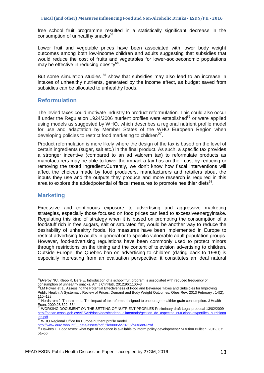free school fruit programme resulted in a statistically significant decrease in the consumption of unhealthy snacks<sup>53</sup>.

Lower fruit and vegetable prices have been associated with lower body weight outcomes among both low-income children and adults suggesting that subsidies that would reduce the cost of fruits and vegetables for lower-socioeconomic populations may be effective in reducing obesity<sup>54</sup>.

But some simulation studies <sup>55</sup> show that subsidies may also lead to an increase in intakes of unhealthy nutrients, generated by the income effect, as budget saved from subsidies can be allocated to unhealthy foods.

## <span id="page-12-0"></span>**Reformulation**

The levied taxes could motivate industry to product reformulation. This could also occur if under the Regulation 1924/2006 nutrient profiles were established<sup>56</sup> or were applied using models as suggested by WHO, which describes a regional nutrient profile model for use and adaptation by Member States of the WHO European Region when developing policies to restrict food marketing to children<sup>57</sup>.

Product reformulation is more likely where the design of the tax is based on the level of certain ingredients (sugar, salt etc.) in the final product. As such, a specific tax provides a stronger incentive (compared to an ad valorem tax) to reformulate products as manufacturers may be able to lower the impact a tax has on their cost by reducing or removing the taxed ingredient.Currently, we don't know how fiscal interventions will affect the choices made by food producers, manufacturers and retailers about the inputs they use and the outputs they produce and more research is required in this area to explore the addedpotential of fiscal measures to promote healthier diets $58$ .

## <span id="page-12-1"></span>**Marketing**

.

Excessive and continuous exposure to advertising and aggressive marketing strategies, especially those focused on food prices can lead to excessiveenergyintake. Regulating this kind of strategy when it is based on promoting the consumption of a foodstuff rich in free sugars, salt or saturated fat, would be another way to reduce the desirability of unhealthy foods. No measures have been implemented in Europe to restrict advertising to adults in general or to specific vulnerable adult population groups. However, food-advertising regulations have been commonly used to protect minors through restrictions on the timing and the content of television advertising to children. Outside Europe, the Quebec ban on advertising to children (dating back to 1980) is especially interesting from an evaluation perspective: it constitutes an ideal natural

<sup>53</sup> Øverby NC, Klepp K, Bere E. Introduction of a school fruit program is associated with reduced frequency of consumption of unhealthy snacks. Am J ClinNutr. 2012;96:1100–3.<br><sup>54</sup>LM Powell et al. Assessing the Potential Effectiveness of Food and Beverage Taxes and Subsidies for Improving

Public Health: A Systematic Review of Prices, Demand and Body Weight Outcomes. Obes Rev. 2013 February ; 14(2):

<sup>110–128.</sup> <sup>55</sup> Nordstrom J, Thunstrom L. The impact of tax reforms designed to encourage healthier grain consumption. J Health

Econ. 2009;28:622–634. <sup>56</sup> WORKING DOCUMENT ON THE SETTING OF NUTRIENT PROFILES Preliminary draft Legal proposal 13/02/2009 [http://aesan.msssi.gob.es/AESAN/docs/docs/cadena\\_alimentaria/gestion\\_de\\_aspectos\\_nutricionales/perfiles\\_nutriciona](http://aesan.msssi.gob.es/AESAN/docs/docs/cadena_alimentaria/gestion_de_aspectos_nutricionales/perfiles_nutricionales.pdf) [les.pdf](http://aesan.msssi.gob.es/AESAN/docs/docs/cadena_alimentaria/gestion_de_aspectos_nutricionales/perfiles_nutricionales.pdf)

**WHO Regional Office for Europe nutrient profile model** 

[http://www.euro.who.int/\\_\\_data/assets/pdf\\_file/0005/270716/Nutrient-Prof](http://www.euro.who.int/__data/assets/pdf_file/0005/270716/Nutrient-Prof)

 $3$  Hawkes C. Food taxes: what type of evidence is available to inform policy development? Nutrition Bulletin, 2012, 37: 51–56